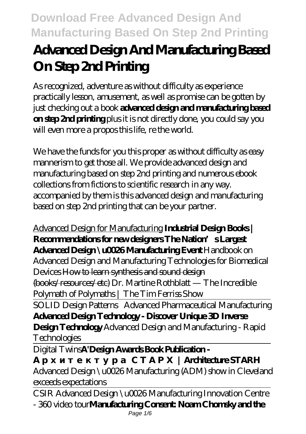# **Advanced Design And Manufacturing Based On Step 2nd Printing**

As recognized, adventure as without difficulty as experience practically lesson, amusement, as well as promise can be gotten by just checking out a book **advanced design and manufacturing based on step 2nd printing** plus it is not directly done, you could say you will even more a propos this life, re the world.

We have the funds for you this proper as without difficulty as easy mannerism to get those all. We provide advanced design and manufacturing based on step 2nd printing and numerous ebook collections from fictions to scientific research in any way. accompanied by them is this advanced design and manufacturing based on step 2nd printing that can be your partner.

### Advanced Design for Manufacturing **Industrial Design Books | Recommendations for new designers The Nation's Largest Advanced Design \u0026 Manufacturing Event** *Handbook on*

*Advanced Design and Manufacturing Technologies for Biomedical Devices* How to learn synthesis and sound design (books/resources/etc) *Dr. Martine Rothblatt — The Incredible Polymath of Polymaths | The Tim Ferriss Show*

SOLID Design Patterns *Advanced Pharmaceutical Manufacturing* **Advanced Design Technology - Discover Unique 3D Inverse Design Technology** Advanced Design and Manufacturing - Rapid Technologies

Digital Twins**A'Design Awards Book Publication -**

## | **Architecture STARH**

Advanced Design \u0026 Manufacturing (ADM) show in Cleveland exceeds expectations

CSIR Advanced Design \u0026 Manufacturing Innovation Centre - 360 video tour**Manufacturing Consent: Noam Chomsky and the**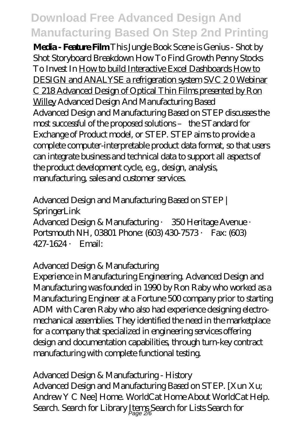**Media - Feature Film** This Jungle Book Scene is Genius - Shot by Shot Storyboard Breakdown *How To Find Growth Penny Stocks To Invest In* How to build Interactive Excel Dashboards How to DESIGN and ANALYSE a refrigeration system SVC 2 0 Webinar C 218 Advanced Design of Optical Thin Films presented by Ron Willey *Advanced Design And Manufacturing Based* Advanced Design and Manufacturing Based on STEP discusses the most successful of the proposed solutions – the STandard for Exchange of Product model, or STEP. STEP aims to provide a complete computer-interpretable product data format, so that users can integrate business and technical data to support all aspects of the product development cycle, e.g., design, analysis, manufacturing, sales and customer services.

# *Advanced Design and Manufacturing Based on STEP | SpringerLink*

Advanced Design & Manufacturing · 350 Heritage Avenue · Portsmouth NH, 03801 Phone: (603) 430-7573 · Fax: (603) 427-1624 · Email:

## *Advanced Design & Manufacturing*

Experience in Manufacturing Engineering. Advanced Design and Manufacturing was founded in 1990 by Ron Raby who worked as a Manufacturing Engineer at a Fortune 500 company prior to starting ADM with Caren Raby who also had experience designing electromechanical assemblies. They identified the need in the marketplace for a company that specialized in engineering services offering design and documentation capabilities, through turn-key contract manufacturing with complete functional testing.

#### *Advanced Design & Manufacturing - History*

Advanced Design and Manufacturing Based on STEP. [Xun Xu; Andrew Y C Nee] Home. WorldCat Home About WorldCat Help. Search. Search for Library Items Search for Lists Search for Page 2/6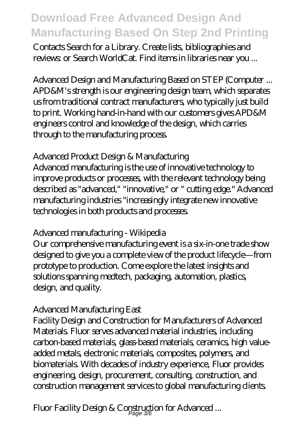Contacts Search for a Library. Create lists, bibliographies and reviews: or Search WorldCat. Find items in libraries near you ...

*Advanced Design and Manufacturing Based on STEP (Computer ...* APD&M's strength is our engineering design team, which separates us from traditional contract manufacturers, who typically just build to print. Working hand-in-hand with our customers gives APD&M engineers control and knowledge of the design, which carries through to the manufacturing process.

## *Advanced Product Design & Manufacturing*

Advanced manufacturing is the use of innovative technology to improve products or processes, with the relevant technology being described as "advanced," "innovative," or " cutting edge." Advanced manufacturing industries "increasingly integrate new innovative technologies in both products and processes.

## *Advanced manufacturing - Wikipedia*

Our comprehensive manufacturing event is a six-in-one trade show designed to give you a complete view of the product lifecycle—from prototype to production. Come explore the latest insights and solutions spanning medtech, packaging, automation, plastics, design, and quality.

#### *Advanced Manufacturing East*

Facility Design and Construction for Manufacturers of Advanced Materials. Fluor serves advanced material industries, including carbon-based materials, glass-based materials, ceramics, high valueadded metals, electronic materials, composites, polymers, and biomaterials. With decades of industry experience, Fluor provides engineering, design, procurement, consulting, construction, and construction management services to global manufacturing clients.

*Fluor Facility Design & Construction for Advanced ...* Page 3/6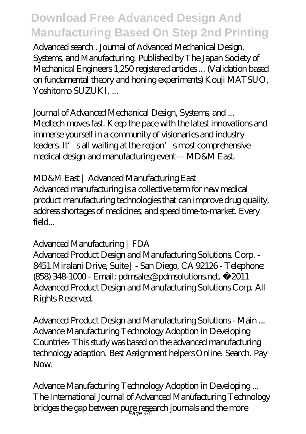Advanced search . Journal of Advanced Mechanical Design, Systems, and Manufacturing. Published by The Japan Society of Mechanical Engineers 1,250 registered articles ... (Validation based on fundamental theory and honing experiments) Kouji MATSUO, Yoshitomo SUZUKI, ...

*Journal of Advanced Mechanical Design, Systems, and ...*

Medtech moves fast. Keep the pace with the latest innovations and immerse yourself in a community of visionaries and industry leaders. It sall waiting at the region's most comprehensive medical design and manufacturing event— MD&M East.

# *MD&M East | Advanced Manufacturing East*

Advanced manufacturing is a collective term for new medical product manufacturing technologies that can improve drug quality, address shortages of medicines, and speed time-to-market. Every  $\mathsf{field}$ 

# *Advanced Manufacturing | FDA*

Advanced Product Design and Manufacturing Solutions, Corp. - 8451 Miralani Drive, Suite J - San Diego, CA 92126 - Telephone: (858) 348-1000 - Email: pdmsales@pdmsolutions.net. ©2011 Advanced Product Design and Manufacturing Solutions Corp. All Rights Reserved.

*Advanced Product Design and Manufacturing Solutions - Main ...* Advance Manufacturing Technology Adoption in Developing Countries- This study was based on the advanced manufacturing technology adaption. Best Assignment helpers Online. Search. Pay  $N_{\Omega}$ 

*Advance Manufacturing Technology Adoption in Developing ...* The International Journal of Advanced Manufacturing Technology bridges the gap between pure research journals and the more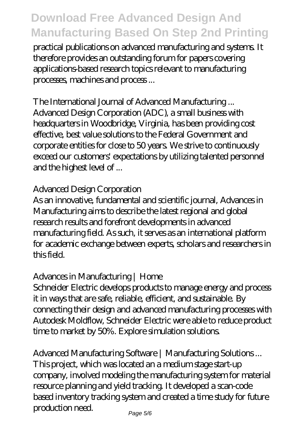practical publications on advanced manufacturing and systems. It therefore provides an outstanding forum for papers covering applications-based research topics relevant to manufacturing processes, machines and process ...

#### *The International Journal of Advanced Manufacturing ...*

Advanced Design Corporation (ADC), a small business with headquarters in Woodbridge, Virginia, has been providing cost effective, best value solutions to the Federal Government and corporate entities for close to 50 years. We strive to continuously exceed our customers' expectations by utilizing talented personnel and the highest level of ...

### *Advanced Design Corporation*

As an innovative, fundamental and scientific journal, Advances in Manufacturing aims to describe the latest regional and global research results and forefront developments in advanced manufacturing field. As such, it serves as an international platform for academic exchange between experts, scholars and researchers in this field.

## *Advances in Manufacturing | Home*

Schneider Electric develops products to manage energy and process it in ways that are safe, reliable, efficient, and sustainable. By connecting their design and advanced manufacturing processes with Autodesk Moldflow, Schneider Electric were able to reduce product time to market by 50%. Explore simulation solutions.

#### *Advanced Manufacturing Software | Manufacturing Solutions ...*

This project, which was located an a medium stage start-up company, involved modeling the manufacturing system for material resource planning and yield tracking. It developed a scan-code based inventory tracking system and created a time study for future production need.